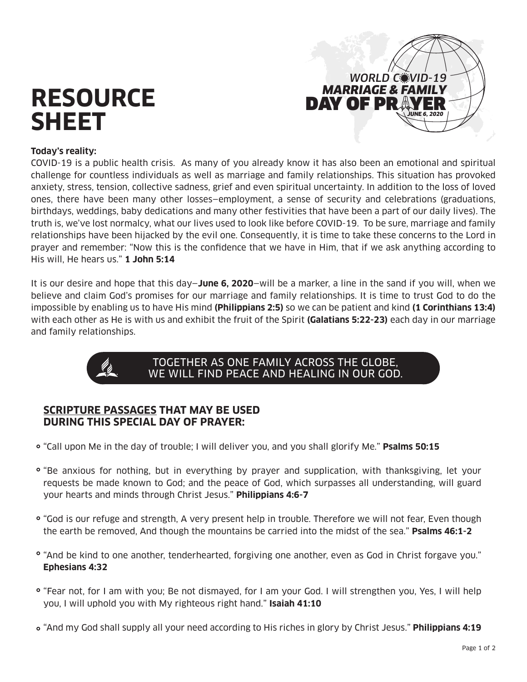# **RESOURCE SHEET**



#### **Today's reality:**

COVID-19 is a public health crisis. As many of you already know it has also been an emotional and spiritual challenge for countless individuals as well as marriage and family relationships. This situation has provoked anxiety, stress, tension, collective sadness, grief and even spiritual uncertainty. In addition to the loss of loved ones, there have been many other losses—employment, a sense of security and celebrations (graduations, birthdays, weddings, baby dedications and many other festivities that have been a part of our daily lives). The truth is, we've lost normalcy, what our lives used to look like before COVID-19. To be sure, marriage and family relationships have been hijacked by the evil one. Consequently, it is time to take these concerns to the Lord in prayer and remember: "Now this is the confidence that we have in Him, that if we ask anything according to His will, He hears us." **1 John 5:14**

It is our desire and hope that this day—**June 6, 2020**—will be a marker, a line in the sand if you will, when we believe and claim God's promises for our marriage and family relationships. It is time to trust God to do the impossible by enabling us to have His mind **(Philippians 2:5)** so we can be patient and kind **(1 Corinthians 13:4)**  with each other as He is with us and exhibit the fruit of the Spirit **(Galatians 5:22-23)** each day in our marriage and family relationships.



# TOGETHER AS ONE FAMILY ACROSS THE GLOBE, WE WILL FIND PEACE AND HEALING IN OUR GOD.

### **SCRIPTURE PASSAGES THAT MAY BE USED DURING THIS SPECIAL DAY OF PRAYER:**

- "Call upon Me in the day of trouble; I will deliver you, and you shall glorify Me." **Psalms 50:15**
- "Be anxious for nothing, but in everything by prayer and supplication, with thanksgiving, let your requests be made known to God; and the peace of God, which surpasses all understanding, will guard your hearts and minds through Christ Jesus." **Philippians 4:6-7**
- "God is our refuge and strength, A very present help in trouble. Therefore we will not fear, Even though the earth be removed, And though the mountains be carried into the midst of the sea." **Psalms 46:1-2**
- "And be kind to one another, tenderhearted, forgiving one another, even as God in Christ forgave you." **Ephesians 4:32**
- "Fear not, for I am with you; Be not dismayed, for I am your God. I will strengthen you, Yes, I will help you, I will uphold you with My righteous right hand." **Isaiah 41:10**
- "And my God shall supply all your need according to His riches in glory by Christ Jesus." **Philippians 4:19**